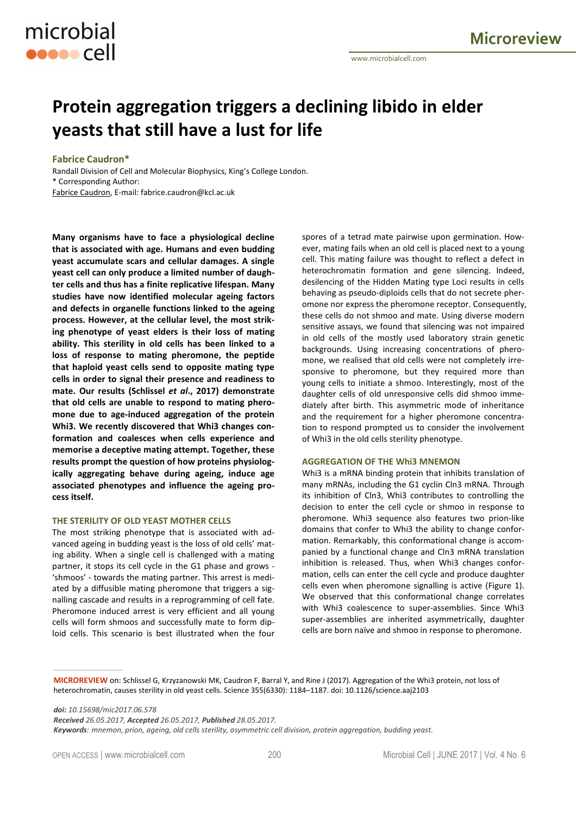# **Protein aggregation triggers a declining libido in elder yeasts that still have a lust for life**

## **Fabrice Caudron\***

microbial

**ODDOO** Cell

Randall Division of Cell and Molecular Biophysics, King's College London. \* Corresponding Author: Fabrice Caudron, E-mail: fabrice.caudron@kcl.ac.uk

**Many organisms have to face a physiological decline that is associated with age. Humans and even budding yeast accumulate scars and cellular damages. A single yeast cell can only produce a limited number of daughter cells and thus has a finite replicative lifespan. Many studies have now identified molecular ageing factors and defects in organelle functions linked to the ageing process. However, at the cellular level, the most striking phenotype of yeast elders is their loss of mating ability. This sterility in old cells has been linked to a loss of response to mating pheromone, the peptide that haploid yeast cells send to opposite mating type cells in order to signal their presence and readiness to mate. Our results (Schlissel** *et al***., 2017) demonstrate that old cells are unable to respond to mating pheromone due to age-induced aggregation of the protein Whi3. We recently discovered that Whi3 changes conformation and coalesces when cells experience and memorise a deceptive mating attempt. Together, these results prompt the question of how proteins physiologically aggregating behave during ageing, induce age associated phenotypes and influence the ageing process itself.** 

## **THE STERILITY OF OLD YEAST MOTHER CELLS**

The most striking phenotype that is associated with advanced ageing in budding yeast is the loss of old cells' mating ability. When a single cell is challenged with a mating partner, it stops its cell cycle in the G1 phase and grows - 'shmoos' - towards the mating partner. This arrest is mediated by a diffusible mating pheromone that triggers a signalling cascade and results in a reprogramming of cell fate. Pheromone induced arrest is very efficient and all young cells will form shmoos and successfully mate to form diploid cells. This scenario is best illustrated when the four spores of a tetrad mate pairwise upon germination. However, mating fails when an old cell is placed next to a young cell. This mating failure was thought to reflect a defect in heterochromatin formation and gene silencing. Indeed, desilencing of the Hidden Mating type Loci results in cells behaving as pseudo-diploids cells that do not secrete pheromone nor express the pheromone receptor. Consequently, these cells do not shmoo and mate. Using diverse modern sensitive assays, we found that silencing was not impaired in old cells of the mostly used laboratory strain genetic backgrounds. Using increasing concentrations of pheromone, we realised that old cells were not completely irresponsive to pheromone, but they required more than young cells to initiate a shmoo. Interestingly, most of the daughter cells of old unresponsive cells did shmoo immediately after birth. This asymmetric mode of inheritance and the requirement for a higher pheromone concentration to respond prompted us to consider the involvement of Whi3 in the old cells sterility phenotype.

## **AGGREGATION OF THE Whi3 MNEMON**

Whi3 is a mRNA binding protein that inhibits translation of many mRNAs, including the G1 cyclin Cln3 mRNA. Through its inhibition of Cln3, Whi3 contributes to controlling the decision to enter the cell cycle or shmoo in response to pheromone. Whi3 sequence also features two prion-like domains that confer to Whi3 the ability to change conformation. Remarkably, this conformational change is accompanied by a functional change and Cln3 mRNA translation inhibition is released. Thus, when Whi3 changes conformation, cells can enter the cell cycle and produce daughter cells even when pheromone signalling is active (Figure 1). We observed that this conformational change correlates with Whi3 coalescence to super-assemblies. Since Whi3 super-assemblies are inherited asymmetrically, daughter cells are born naïve and shmoo in response to pheromone.

**MICROREVIEW** on: Schlissel G, Krzyzanowski MK, Caudron F, Barral Y, and Rine J (2017). Aggregation of the Whi3 protein, not loss of heterochromatin, causes sterility in old yeast cells. Science 355(6330): 1184-1187. doi: 10.1126/science.aaj2103

*doi: 10.15698/mic2017.06.578* 

*Received 26.05.2017, Accepted 26.05.2017, Published 28.05.2017.* 

*Keywords: mnemon, prion, ageing, old cells sterility, asymmetric cell division, protein aggregation, budding yeast.*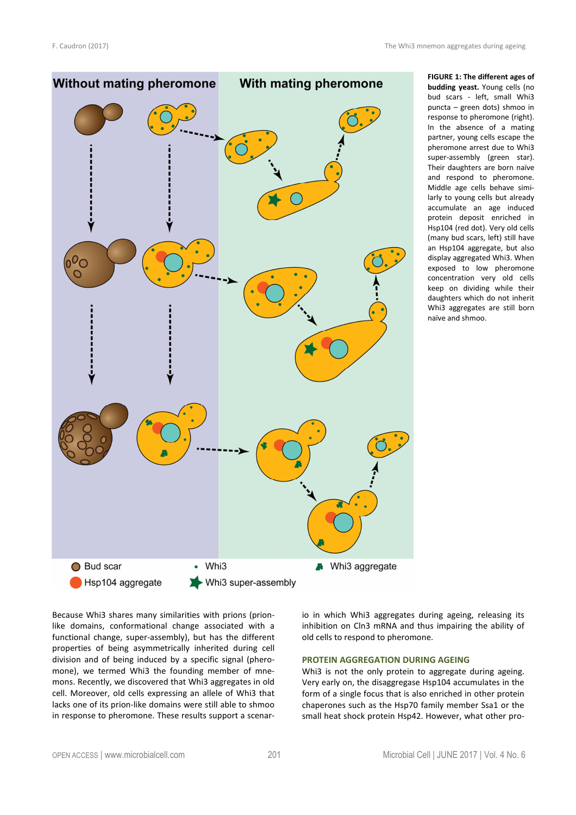

**FIGURE 1: The different ages of budding yeast.** Young cells (no bud scars - left, small Whi3 puncta – green dots) shmoo in response to pheromone (right). In the absence of a mating partner, young cells escape the pheromone arrest due to Whi3 super-assembly (green star). Their daughters are born naïve and respond to pheromone. Middle age cells behave similarly to young cells but already accumulate an age induced protein deposit enriched in Hsp104 (red dot). Very old cells (many bud scars, left) still have an Hsp104 aggregate, but also display aggregated Whi3. When exposed to low pheromone concentration very old cells keep on dividing while their daughters which do not inherit Whi3 aggregates are still born naïve and shmoo.

Because Whi3 shares many similarities with prions (prionlike domains, conformational change associated with a functional change, super-assembly), but has the different properties of being asymmetrically inherited during cell division and of being induced by a specific signal (pheromone), we termed Whi3 the founding member of mnemons. Recently, we discovered that Whi3 aggregates in old cell. Moreover, old cells expressing an allele of Whi3 that lacks one of its prion-like domains were still able to shmoo in response to pheromone. These results support a scenario in which Whi3 aggregates during ageing, releasing its inhibition on Cln3 mRNA and thus impairing the ability of old cells to respond to pheromone.

## **PROTEIN AGGREGATION DURING AGEING**

Whi3 is not the only protein to aggregate during ageing. Very early on, the disaggregase Hsp104 accumulates in the form of a single focus that is also enriched in other protein chaperones such as the Hsp70 family member Ssa1 or the small heat shock protein Hsp42. However, what other pro